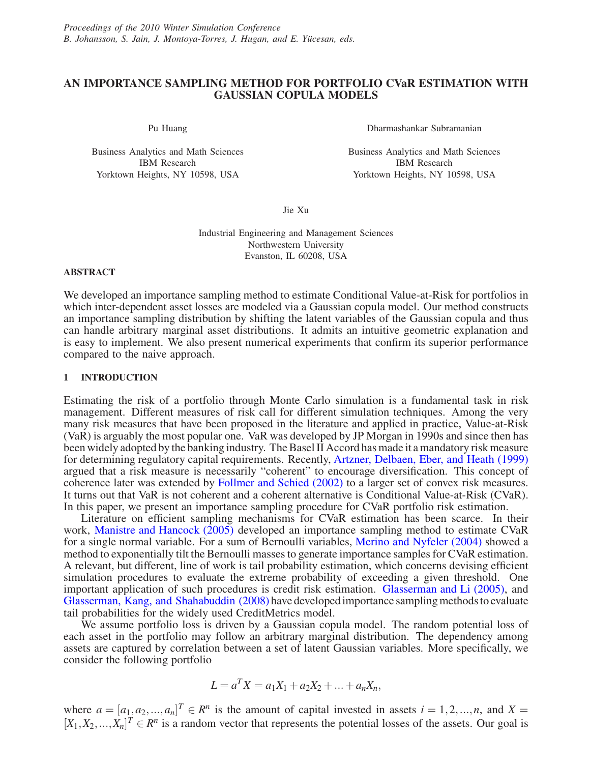# **AN IMPORTANCE SAMPLING METHOD FOR PORTFOLIO CVaR ESTIMATION WITH GAUSSIAN COPULA MODELS**

Pu Huang

Business Analytics and Math Sciences IBM Research Yorktown Heights, NY 10598, USA

Dharmashankar Subramanian

Business Analytics and Math Sciences IBM Research Yorktown Heights, NY 10598, USA

Jie Xu

Industrial Engineering and Management Sciences Northwestern University Evanston, IL 60208, USA

#### **ABSTRACT**

We developed an importance sampling method to estimate Conditional Value-at-Risk for portfolios in which inter-dependent asset losses are modeled via a Gaussian copula model. Our method constructs an importance sampling distribution by shifting the latent variables of the Gaussian copula and thus can handle arbitrary marginal asset distributions. It admits an intuitive geometric explanation and is easy to implement. We also present numerical experiments that confirm its superior performance compared to the naive approach.

# **1 INTRODUCTION**

Estimating the risk of a portfolio through Monte Carlo simulation is a fundamental task in risk management. Different measures of risk call for different simulation techniques. Among the very many risk measures that have been proposed in the literature and applied in practice, Value-at-Risk (VaR) is arguably the most popular one. VaR was developed by JP Morgan in 1990s and since then has been widely adopted by the banking industry. The Basel II Accord has made it a mandatory risk measure for determining regulatory capital requirements. Recently, Artzner, Delbaen, Eber, and Heath (1999) argued that a risk measure is necessarily "coherent" to encourage diversification. This concept of coherence later was extended by Follmer and Schied (2002) to a larger set of convex risk measures. It turns out that VaR is not coherent and a coherent alternative is Conditional Value-at-Risk (CVaR). In this paper, we present an importance sampling procedure for CVaR portfolio risk estimation.

Literature on efficient sampling mechanisms for CVaR estimation has been scarce. In their work, Manistre and Hancock (2005) developed an importance sampling method to estimate CVaR for a single normal variable. For a sum of Bernoulli variables, Merino and Nyfeler (2004) showed a method to exponentially tilt the Bernoulli masses to generate importance samples for CVaR estimation. A relevant, but different, line of work is tail probability estimation, which concerns devising efficient simulation procedures to evaluate the extreme probability of exceeding a given threshold. One important application of such procedures is credit risk estimation. Glasserman and Li (2005), and Glasserman, Kang, and Shahabuddin (2008) have developed importance sampling methods to evaluate tail probabilities for the widely used CreditMetrics model.

We assume portfolio loss is driven by a Gaussian copula model. The random potential loss of each asset in the portfolio may follow an arbitrary marginal distribution. The dependency among assets are captured by correlation between a set of latent Gaussian variables. More specifically, we consider the following portfolio

$$
L = a^T X = a_1 X_1 + a_2 X_2 + \dots + a_n X_n,
$$

where  $a = [a_1, a_2, ..., a_n]^T \in \mathbb{R}^n$  is the amount of capital invested in assets  $i = 1, 2, ..., n$ , and  $X =$  $[X_1, X_2, ..., X_n]^T \in \mathbb{R}^n$  is a random vector that represents the potential losses of the assets. Our goal is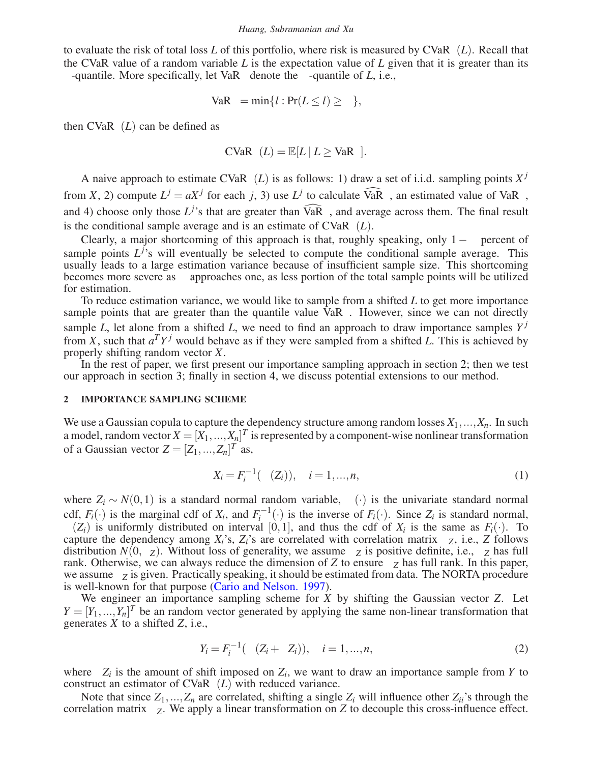to evaluate the risk of total loss *L* of this portfolio, where risk is measured by  $CVaR<sub>\beta</sub>(L)$ . Recall that the CVaR value of a random variable *L* is the expectation value of *L* given that it is greater than its β-quantile. More specifically, let VaR<sub>β</sub> denote the β-quantile of *L*, i.e.,

$$
VaR_{\beta} = \min\{l : Pr(L \le l) \ge \beta\},\
$$

then  $CVaR_{\beta}(L)$  can be defined as

$$
\text{CVaR}_{\beta}(L) = \mathbb{E}[L \mid L \geq \text{VaR}_{\beta}].
$$

A naive approach to estimate  $CVaR<sub>\beta</sub>(L)$  is as follows: 1) draw a set of i.i.d. sampling points  $X<sup>j</sup>$ from *X*, 2) compute  $L^j = aX^j$  for each *j*, 3) use  $L^j$  to calculate  $\widehat{VaR}_\beta$ , an estimated value of  $VaR_\beta$ , and 4) choose only those  $L^{j}$ 's that are greater than  $\widehat{VaR}_{\beta}$ , and average across them. The final result is the conditional sample average and is an estimate of  $CVaR<sub>\beta</sub>(L)$ .

Clearly, a major shortcoming of this approach is that, roughly speaking, only  $1-\beta$  percent of sample points  $L^{j}$ 's will eventually be selected to compute the conditional sample average. This usually leads to a large estimation variance because of insufficient sample size. This shortcoming becomes more severe as  $\beta$  approaches one, as less portion of the total sample points will be utilized for estimation.

To reduce estimation variance, we would like to sample from a shifted *L* to get more importance sample points that are greater than the quantile value  $VaR<sub>β</sub>$ . However, since we can not directly sample *L*, let alone from a shifted *L*, we need to find an approach to draw importance samples  $Y^j$ from *X*, such that  $a^T Y^j$  would behave as if they were sampled from a shifted *L*. This is achieved by properly shifting random vector *X*.

In the rest of paper, we first present our importance sampling approach in section 2; then we test our approach in section 3; finally in section 4, we discuss potential extensions to our method.

## **2 IMPORTANCE SAMPLING SCHEME**

We use a Gaussian copula to capture the dependency structure among random losses  $X_1, ..., X_n$ . In such a model, random vector  $X = [X_1, ..., X_n]^T$  is represented by a component-wise nonlinear transformation of a Gaussian vector  $Z = [Z_1, ..., Z_n]^T$  as,

$$
X_i = F_i^{-1}(\Phi(Z_i)), \quad i = 1, ..., n,
$$
\n(1)

where  $Z_i \sim N(0,1)$  is a standard normal random variable,  $\Phi(\cdot)$  is the univariate standard normal cdf,  $F_i(\cdot)$  is the marginal cdf of  $X_i$ , and  $F_i^{-1}(\cdot)$  is the inverse of  $F_i(\cdot)$ . Since  $Z_i$  is standard normal,  $\Phi(Z_i)$  is uniformly distributed on interval [0,1], and thus the cdf of  $X_i$  is the same as  $F_i(\cdot)$ . To capture the dependency among  $X_i$ 's,  $Z_i$ 's are correlated with correlation matrix  $\Sigma_Z$ , i.e.,  $Z$  follows distribution  $N(0, \Sigma_Z)$ . Without loss of generality, we assume  $\Sigma_Z$  is positive definite, i.e.,  $\Sigma_Z$  has full rank. Otherwise, we can always reduce the dimension of *Z* to ensure  $\Sigma_Z$  has full rank. In this paper, we assume Σ*<sup>Z</sup>* is given. Practically speaking, it should be estimated from data. The NORTA procedure is well-known for that purpose (Cario and Nelson. 1997).

We engineer an importance sampling scheme for *X* by shifting the Gaussian vector *Z*. Let  $Y = [Y_1, ..., Y_n]^T$  be an random vector generated by applying the same non-linear transformation that generates *X* to a shifted *Z*, i.e.,

$$
Y_i = F_i^{-1}(\Phi(Z_i + \Delta Z_i)), \quad i = 1, ..., n,
$$
\n(2)

where ∆*Zi* is the amount of shift imposed on *Zi*, we want to draw an importance sample from *Y* to construct an estimator of  $CVaR<sub>\beta</sub>(L)$  with reduced variance.

Note that since  $Z_1, ..., Z_n$  are correlated, shifting a single  $Z_i$  will influence other  $Z_{ii}$ 's through the correlation matrix Σ*Z*. We apply a linear transformation on *Z* to decouple this cross-influence effect.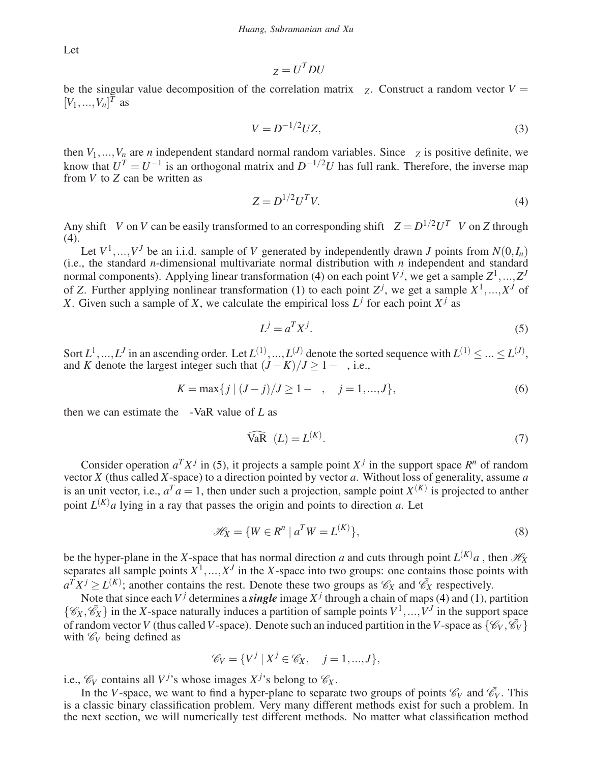Let

$$
\Sigma_Z = U^T D U
$$

be the singular value decomposition of the correlation matrix  $\Sigma$ <sub>*Z*</sub>. Construct a random vector  $V =$  $[V_1, ..., V_n]^T$  as

$$
V = D^{-1/2} UZ,\tag{3}
$$

then  $V_1, ..., V_n$  are *n* independent standard normal random variables. Since  $\Sigma_Z$  is positive definite, we know that  $U^T = U^{-1}$  is an orthogonal matrix and  $D^{-1/2}U$  has full rank. Therefore, the inverse map from *V* to *Z* can be written as

$$
Z = D^{1/2}U^TV.\tag{4}
$$

Any shift ∆*V* on *V* can be easily transformed to an corresponding shift ∆*Z* = *D*1/2*UT*∆*V* on *Z* through  $(4)$ .

Let  $V^1, ..., V^J$  be an i.i.d. sample of *V* generated by independently drawn *J* points from  $N(0, I_n)$ (i.e., the standard *n*-dimensional multivariate normal distribution with *n* independent and standard normal components). Applying linear transformation (4) on each point  $V^j$ , we get a sample  $Z^1, ..., Z^J$ of *Z*. Further applying nonlinear transformation (1) to each point  $Z^j$ , we get a sample  $X^1, ..., X^J$  of *X*. Given such a sample of *X*, we calculate the empirical loss  $L^j$  for each point  $X^j$  as

$$
L^j = a^T X^j. \tag{5}
$$

Sort  $L^1, ..., L^J$  in an ascending order. Let  $L^{(1)}, ..., L^{(J)}$  denote the sorted sequence with  $L^{(1)} \leq ... \leq L^{(J)}$ , and *K* denote the largest integer such that  $(J - K)/J \ge 1 - \beta$ , i.e.,

$$
K = \max\{j \mid (J - j)/J \ge 1 - \beta, \quad j = 1, ..., J\},\tag{6}
$$

then we can estimate the  $β$ -VaR value of *L* as

$$
\widehat{\text{VaR}}_{\beta}(L) = L^{(K)}.\tag{7}
$$

Consider operation  $a^T X^j$  in (5), it projects a sample point  $X^j$  in the support space  $R^n$  of random vector *X* (thus called *X*-space) to a direction pointed by vector *a*. Without loss of generality, assume *a* is an unit vector, i.e.,  $a^T a = 1$ , then under such a projection, sample point  $X^{(K)}$  is projected to anther point  $L^{(K)}a$  lying in a ray that passes the origin and points to direction *a*. Let

$$
\mathcal{H}_X = \{ W \in R^n \mid a^T W = L^{(K)} \},\tag{8}
$$

be the hyper-plane in the *X*-space that has normal direction *a* and cuts through point  $L^{(K)}a$ , then  $\mathcal{H}_X$ separates all sample points  $X^1, \ldots, X^J$  in the *X*-space into two groups: one contains those points with  $a^T X^j \ge L^{(K)}$ ; another contains the rest. Denote these two groups as  $\mathcal{C}_X$  and  $\bar{\mathcal{C}}_X$  respectively.

Note that since each  $V^j$  determines a *single* image  $X^j$  through a chain of maps (4) and (1), partition  $\{\mathscr{C}_X, \mathscr{C}_X\}$  in the *X*-space naturally induces a partition of sample points  $V^1, ..., V^J$  in the support space of random vector *V* (thus called *V*-space). Denote such an induced partition in the *V*-space as  $\{\mathcal{C}_V, \overline{\mathcal{C}}_V\}$ with  $\mathcal{C}_V$  being defined as

$$
\mathscr{C}_V = \{ V^j \mid X^j \in \mathscr{C}_X, \quad j = 1, ..., J \},\
$$

i.e.,  $\mathcal{C}_V$  contains all  $V^j$ 's whose images  $X^j$ 's belong to  $\mathcal{C}_X$ .

In the *V*-space, we want to find a hyper-plane to separate two groups of points  $\mathcal{C}_V$  and  $\bar{\mathcal{C}}_V$ . This is a classic binary classification problem. Very many different methods exist for such a problem. In the next section, we will numerically test different methods. No matter what classification method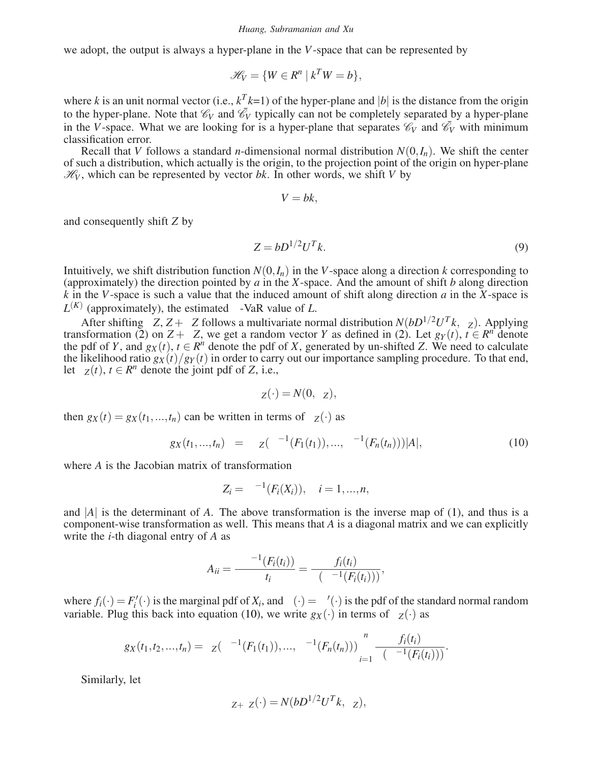we adopt, the output is always a hyper-plane in the *V*-space that can be represented by

$$
\mathscr{H}_V = \{ W \in R^n \mid k^T W = b \},\
$$

where *k* is an unit normal vector (i.e.,  $k^T k=1$ ) of the hyper-plane and |b| is the distance from the origin to the hyper-plane. Note that  $\mathcal{C}_V$  and  $\bar{\mathcal{C}}_V$  typically can not be completely separated by a hyper-plane in the *V*-space. What we are looking for is a hyper-plane that separates  $\mathcal{C}_V$  and  $\bar{\mathcal{C}}_V$  with minimum classification error.

Recall that *V* follows a standard *n*-dimensional normal distribution  $N(0, I_n)$ . We shift the center of such a distribution, which actually is the origin, to the projection point of the origin on hyper-plane  $\mathcal{H}_V$ , which can be represented by vector *bk*. In other words, we shift *V* by

$$
\Delta V = bk,
$$

and consequently shift *Z* by

$$
\Delta Z = bD^{1/2}U^T k. \tag{9}
$$

Intuitively, we shift distribution function  $N(0, I_n)$  in the *V*-space along a direction *k* corresponding to (approximately) the direction pointed by *a* in the *X*-space. And the amount of shift *b* along direction *k* in the *V*-space is such a value that the induced amount of shift along direction *a* in the *X*-space is  $L^{(K)}$  (approximately), the estimated  $\beta$ -VaR value of *L*.

After shifting ∆*Z*, *Z* +∆*Z* follows a multivariate normal distribution *N*(*bD*1/2*U<sup>T</sup> k*,Σ*Z*). Applying transformation (2) on  $Z + \Delta Z$ , we get a random vector *Y* as defined in (2). Let  $g_Y(t)$ ,  $t \in R^n$  denote the pdf of *Y*, and  $g_X(t)$ ,  $t \in R^n$  denote the pdf of *X*, generated by un-shifted *Z*. We need to calculate the likelihood ratio  $g_X(t)/g_Y(t)$  in order to carry out our importance sampling procedure. To that end, let  $\phi_Z(t)$ ,  $t \in \mathbb{R}^n$  denote the joint pdf of *Z*, i.e.,

$$
\phi_Z(\cdot) = N(0, \Sigma_Z),
$$

then  $g_X(t) = g_X(t_1, \ldots, t_n)$  can be written in terms of  $\phi_Z(\cdot)$  as

$$
g_X(t_1,...,t_n) = \phi_Z(\Phi^{-1}(F_1(t_1)),...,\Phi^{-1}(F_n(t_n)))|A|,
$$
\n(10)

where *A* is the Jacobian matrix of transformation

$$
Z_i = \Phi^{-1}(F_i(X_i)), \quad i = 1, ..., n,
$$

and  $|A|$  is the determinant of  $A$ . The above transformation is the inverse map of (1), and thus is a component-wise transformation as well. This means that *A* is a diagonal matrix and we can explicitly write the *i*-th diagonal entry of *A* as

$$
A_{ii} = \frac{\partial \Phi^{-1}(F_i(t_i))}{\partial t_i} = \frac{f_i(t_i)}{\phi(\Phi^{-1}(F_i(t_i)))},
$$

where  $f_i(\cdot) = F'_i(\cdot)$  is the marginal pdf of  $X_i$ , and  $\phi(\cdot) = \Phi'(\cdot)$  is the pdf of the standard normal random variable. Plug this back into equation (10), we write  $g_X(\cdot)$  in terms of  $\phi_Z(\cdot)$  as

$$
g_X(t_1,t_2,...,t_n)=\phi_Z(\Phi^{-1}(F_1(t_1)),...,\Phi^{-1}(F_n(t_n)))\prod_{i=1}^n\frac{f_i(t_i)}{\phi(\Phi^{-1}(F_i(t_i)))}.
$$

Similarly, let

$$
\phi_{Z+\Delta Z}(\cdot) = N(bD^{1/2}U^T k, \Sigma_Z),
$$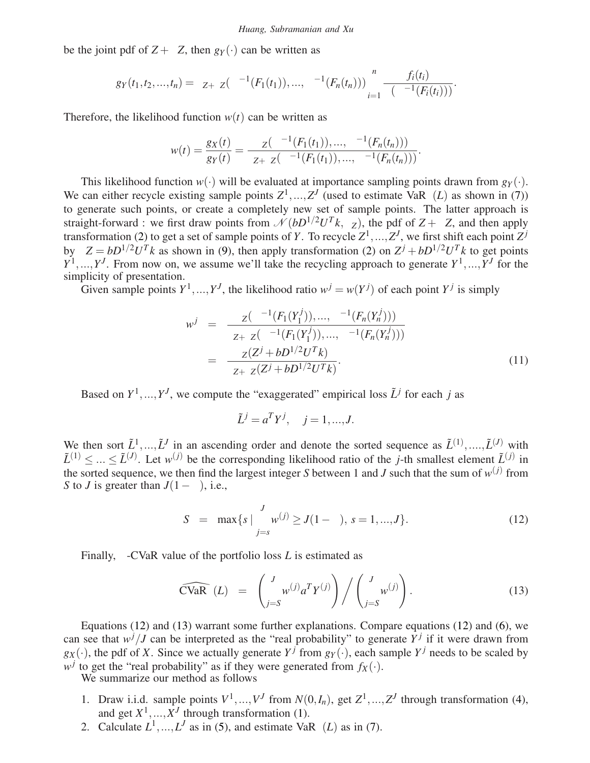#### *Huang, Subramanian and Xu*

be the joint pdf of  $Z + \Delta Z$ , then  $g_Y(\cdot)$  can be written as

$$
g_Y(t_1,t_2,...,t_n)=\phi_{Z+\Delta Z}(\Phi^{-1}(F_1(t_1)),...,\Phi^{-1}(F_n(t_n)))\prod_{i=1}^n\frac{f_i(t_i)}{\phi(\Phi^{-1}(F_i(t_i)))}.
$$

Therefore, the likelihood function  $w(t)$  can be written as

$$
w(t) = \frac{g_X(t)}{g_Y(t)} = \frac{\phi_Z(\Phi^{-1}(F_1(t_1)), ..., \Phi^{-1}(F_n(t_n)))}{\phi_{Z+\Delta Z}(\Phi^{-1}(F_1(t_1)), ..., \Phi^{-1}(F_n(t_n)))}.
$$

This likelihood function  $w(\cdot)$  will be evaluated at importance sampling points drawn from  $g_Y(\cdot)$ . We can either recycle existing sample points  $Z^1, ..., Z^J$  (used to estimate  $VaR_\beta(L)$  as shown in (7)) to generate such points, or create a completely new set of sample points. The latter approach is straight-forward : we first draw points from  $\mathcal{N}(bD^{1/2}U^{T}k, \Sigma_{Z})$ , the pdf of  $Z + \Delta Z$ , and then apply transformation (2) to get a set of sample points of *Y*. To recycle  $Z^1, ..., Z^J$ , we first shift each point  $Z^j$ by  $\Delta Z = bD^{1/2}U^{T}k$  as shown in (9), then apply transformation (2) on  $Z^{j} + bD^{1/2}U^{T}k$  to get points  $Y^1, \ldots, Y^J$ . From now on, we assume we'll take the recycling approach to generate  $Y^1, \ldots, Y^J$  for the simplicity of presentation.

Given sample points  $Y^1, ..., Y^J$ , the likelihood ratio  $w^j = w(Y^j)$  of each point  $Y^j$  is simply

$$
w^{j} = \frac{\phi_{Z}(\Phi^{-1}(F_{1}(Y_{1}^{j})), ..., \Phi^{-1}(F_{n}(Y_{n}^{j})))}{\phi_{Z+\Delta Z}(\Phi^{-1}(F_{1}(Y_{1}^{j})), ..., \Phi^{-1}(F_{n}(Y_{n}^{j})))}
$$
  

$$
= \frac{\phi_{Z}(Z^{j} + bD^{1/2}U^{T}k)}{\phi_{Z+\Delta Z}(Z^{j} + bD^{1/2}U^{T}k)}.
$$
 (11)

Based on  $Y^1, \ldots, Y^J$ , we compute the "exaggerated" empirical loss  $\tilde{L}^j$  for each *j* as

$$
\tilde{L}^j = a^T Y^j, \quad j = 1, ..., J.
$$

We then sort  $\tilde{L}^1, ..., \tilde{L}^J$  in an ascending order and denote the sorted sequence as  $\tilde{L}^{(1)}, ..., \tilde{L}^{(J)}$  with  $\tilde{L}^{(1)} \leq ... \leq \tilde{L}^{(J)}$ . Let  $w^{(j)}$  be the corresponding likelihood ratio of the *j*-th smallest element  $\tilde{L}^{(j)}$  in the sorted sequence, we then find the largest integer *S* between 1 and *J* such that the sum of  $w^{(j)}$  from *S* to *J* is greater than  $J(1-\beta)$ , i.e.,

$$
S = \max\{s \mid \sum_{j=s}^{J} w^{(j)} \ge J(1-\beta), \, s = 1, ..., J\}.
$$
 (12)

Finally, β-CVaR value of the portfolio loss *L* is estimated as

$$
\widehat{\text{CVaR}_{\beta}}(L) = \left(\sum_{j=S}^{J} w^{(j)} a^T Y^{(j)}\right) / \left(\sum_{j=S}^{J} w^{(j)}\right). \tag{13}
$$

Equations (12) and (13) warrant some further explanations. Compare equations (12) and (6), we can see that  $w^j/J$  can be interpreted as the "real probability" to generate  $\overline{Y}^j$  if it were drawn from  $g_X(\cdot)$ , the pdf of *X*. Since we actually generate  $Y^j$  from  $g_Y(\cdot)$ , each sample  $Y^j$  needs to be scaled by  $w^j$  to get the "real probability" as if they were generated from  $f_X(\cdot)$ .

We summarize our method as follows

- 1. Draw i.i.d. sample points  $V^1, ..., V^J$  from  $N(0, I_n)$ , get  $Z^1, ..., Z^J$  through transformation (4), and get  $X^1, \ldots, X^J$  through transformation (1).
- 2. Calculate  $L^1$ , ...,  $L^J$  as in (5), and estimate VaR<sub>β</sub>(*L*) as in (7).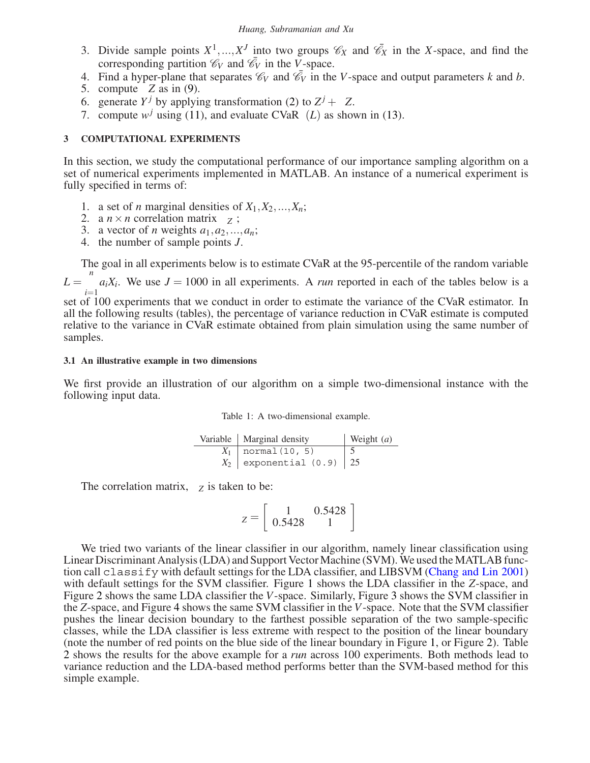- 3. Divide sample points  $X^1, ..., X^J$  into two groups  $\mathcal{C}_X$  and  $\bar{\mathcal{C}}_X$  in the *X*-space, and find the corresponding partition  $\mathcal{C}_V$  and  $\bar{\mathcal{C}}_V$  in the *V*-space.
- 4. Find a hyper-plane that separates  $\mathcal{C}_V$  and  $\bar{\mathcal{C}}_V$  in the *V*-space and output parameters *k* and *b*.
- 5. compute ∆*Z* as in (9).
- 6. generate *Y<sup>j*</sup> by applying transformation (2) to  $Z^j + \Delta Z$ .
- 7. compute  $w^j$  using (11), and evaluate CVa $\mathbb{R}_{\beta}(L)$  as shown in (13).

# **3 COMPUTATIONAL EXPERIMENTS**

In this section, we study the computational performance of our importance sampling algorithm on a set of numerical experiments implemented in MATLAB. An instance of a numerical experiment is fully specified in terms of:

- 1. a set of *n* marginal densities of  $X_1, X_2, \ldots, X_n$ ;
- 2. a  $n \times n$  correlation matrix  $\Sigma_Z$ ;
- 3. a vector of *n* weights  $a_1, a_2, ..., a_n$ ;
- 4. the number of sample points *J*.

The goal in all experiments below is to estimate CVaR at the 95-percentile of the random variable

 $L = \sum_{n=1}^{n}$ *i*=1  $a_iX_i$ . We use  $J = 1000$  in all experiments. A *run* reported in each of the tables below is a

set of  $100$  experiments that we conduct in order to estimate the variance of the CVaR estimator. In all the following results (tables), the percentage of variance reduction in CVaR estimate is computed relative to the variance in CVaR estimate obtained from plain simulation using the same number of samples.

# **3.1 An illustrative example in two dimensions**

We first provide an illustration of our algorithm on a simple two-dimensional instance with the following input data.

|  | Table 1: A two-dimensional example. |  |
|--|-------------------------------------|--|
|  |                                     |  |

| Variable   Marginal density | Weight $(a)$ |
|-----------------------------|--------------|
| $X_1$   normal (10, 5)      |              |
| $X_2$ exponential (0.9) 25  |              |

The correlation matrix,  $\Sigma_Z$  is taken to be:

$$
\Sigma_Z = \left[ \begin{array}{cc} 1 & 0.5428 \\ 0.5428 & 1 \end{array} \right]
$$

We tried two variants of the linear classifier in our algorithm, namely linear classification using Linear Discriminant Analysis (LDA) and Support Vector Machine (SVM). We used the MATLAB function call classify with default settings for the LDA classifier, and LIBSVM (Chang and Lin 2001) with default settings for the SVM classifier. Figure 1 shows the LDA classifier in the *Z*-space, and Figure 2 shows the same LDA classifier the *V*-space. Similarly, Figure 3 shows the SVM classifier in the *Z*-space, and Figure 4 shows the same SVM classifier in the *V*-space. Note that the SVM classifier pushes the linear decision boundary to the farthest possible separation of the two sample-specific classes, while the LDA classifier is less extreme with respect to the position of the linear boundary (note the number of red points on the blue side of the linear boundary in Figure 1, or Figure 2). Table 2 shows the results for the above example for a *run* across 100 experiments. Both methods lead to variance reduction and the LDA-based method performs better than the SVM-based method for this simple example.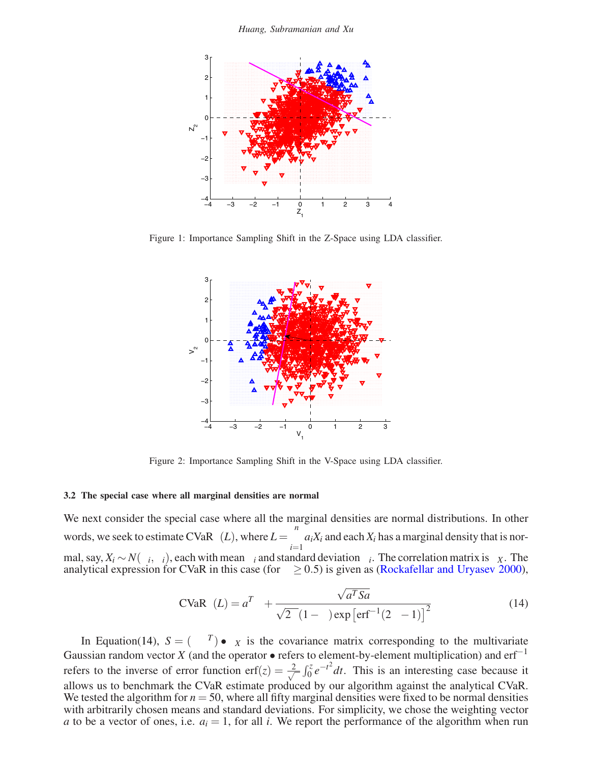*Huang, Subramanian and Xu*



Figure 1: Importance Sampling Shift in the Z-Space using LDA classifier.



Figure 2: Importance Sampling Shift in the V-Space using LDA classifier.

### **3.2 The special case where all marginal densities are normal**

We next consider the special case where all the marginal densities are normal distributions. In other words, we seek to estimate CVaR<sub>β</sub>(*L*), where  $L = \sum_{n=1}^{n}$ *i*=1  $a_iX_i$  and each  $X_i$  has a marginal density that is normal, say,  $X_i \sim N(\mu_i, \sigma_i)$ , each with mean  $\mu_i$  and standard deviation  $\sigma_i$ . The correlation matrix is  $\rho_X$ . The analytical expression for CVaR in this case (for  $\beta \ge 0.5$ ) is given as (Rockafellar and Uryasev 2000),

$$
\text{CVaR}_{\beta}(L) = a^T \mu + \frac{\sqrt{a^T S a}}{\sqrt{2\pi} (1 - \beta) \exp\left[\text{erf}^{-1} (2\beta - 1)\right]^2}
$$
(14)

In Equation(14),  $S = (\sigma \sigma^T) \bullet \rho_X$  is the covariance matrix corresponding to the multivariate Gaussian random vector *X* (and the operator • refers to element-by-element multiplication) and erf<sup>-1</sup> refers to the inverse of error function erf $(z) = \frac{2}{\sqrt{2}}$  $\frac{2}{\pi} \int_0^z e^{-t^2} dt$ . This is an interesting case because it allows us to benchmark the CVaR estimate produced by our algorithm against the analytical CVaR. We tested the algorithm for  $n = 50$ , where all fifty marginal densities were fixed to be normal densities with arbitrarily chosen means and standard deviations. For simplicity, we chose the weighting vector *a* to be a vector of ones, i.e.  $a_i = 1$ , for all *i*. We report the performance of the algorithm when run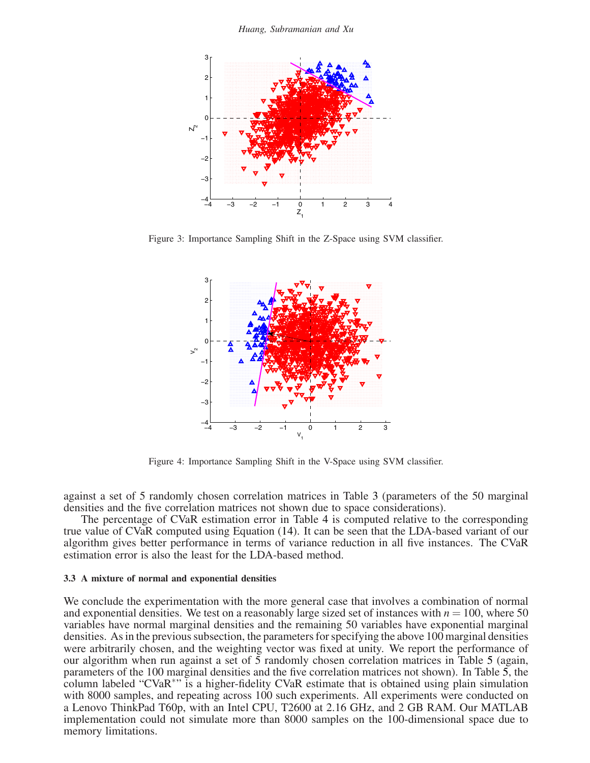*Huang, Subramanian and Xu*



Figure 3: Importance Sampling Shift in the Z-Space using SVM classifier.



Figure 4: Importance Sampling Shift in the V-Space using SVM classifier.

against a set of 5 randomly chosen correlation matrices in Table 3 (parameters of the 50 marginal densities and the five correlation matrices not shown due to space considerations).

The percentage of CVaR estimation error in Table 4 is computed relative to the corresponding true value of CVaR computed using Equation (14). It can be seen that the LDA-based variant of our algorithm gives better performance in terms of variance reduction in all five instances. The CVaR estimation error is also the least for the LDA-based method.

### **3.3 A mixture of normal and exponential densities**

We conclude the experimentation with the more general case that involves a combination of normal and exponential densities. We test on a reasonably large sized set of instances with  $n = 100$ , where 50 variables have normal marginal densities and the remaining 50 variables have exponential marginal densities. As in the previous subsection, the parameters for specifying the above 100 marginal densities were arbitrarily chosen, and the weighting vector was fixed at unity. We report the performance of our algorithm when run against a set of 5 randomly chosen correlation matrices in Table 5 (again, parameters of the 100 marginal densities and the five correlation matrices not shown). In Table 5, the column labeled "CVaR∗" is a higher-fidelity CVaR estimate that is obtained using plain simulation with 8000 samples, and repeating across 100 such experiments. All experiments were conducted on a Lenovo ThinkPad T60p, with an Intel CPU, T2600 at 2.16 GHz, and 2 GB RAM. Our MATLAB implementation could not simulate more than 8000 samples on the 100-dimensional space due to memory limitations.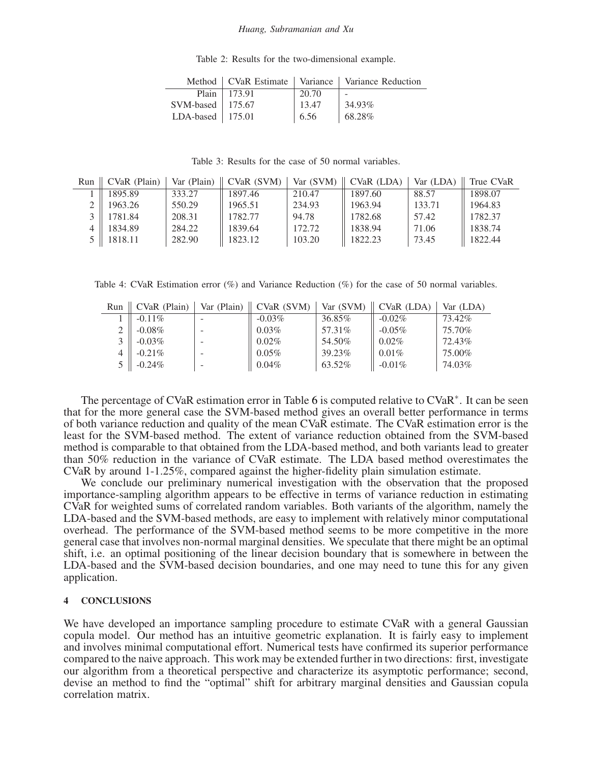#### *Huang, Subramanian and Xu*

| Table 2: Results for the two-dimensional example. |  |
|---------------------------------------------------|--|
|---------------------------------------------------|--|

|                      |                      |       | Method   CVaR Estimate   Variance   Variance Reduction |
|----------------------|----------------------|-------|--------------------------------------------------------|
|                      | Plain $\vert$ 173.91 | 20.70 | $\overline{\phantom{a}}$                               |
| SVM-based   175.67   |                      | 13.47 | 34.93%                                                 |
| LDA-based   $175.01$ |                      | 6.56  | 68.28%                                                 |

Table 3: Results for the case of 50 normal variables.

| Run | CVaR (Plain)          | Var (Plain) $\parallel$ | CVaR (SVM) | Var(SVM) | $\vert$ CVaR (LDA) | Var (LDA) | True CVaR |
|-----|-----------------------|-------------------------|------------|----------|--------------------|-----------|-----------|
|     | 1895.89               | 333.27                  | 1897.46    | 210.47   | 1897.60            | 88.57     | 1898.07   |
|     | 1963.26               | 550.29                  | 1965.51    | 234.93   | 1963.94            | 133.71    | 1964.83   |
|     | 1781.84               | 208.31                  | 1782.77    | 94.78    | 1782.68            | 57.42     | 1782.37   |
|     | 1834.89               | 284.22                  | 1839.64    | 172.72   | 1838.94            | 71.06     | 1838.74   |
|     | $5 \parallel 1818.11$ | 282.90                  | 1823.12    | 103.20   | 1822.23            | 73.45     | 1822.44   |

Table 4: CVaR Estimation error  $(\%)$  and Variance Reduction  $(\%)$  for the case of 50 normal variables.

| Run | CVaR (Plain) | Var (Plain) | CVaR (SVM) | Var(SVM) | CVaR (LDA) | Var (LDA) |
|-----|--------------|-------------|------------|----------|------------|-----------|
|     | $-0.11\%$    |             | $-0.03\%$  | 36.85%   | $-0.02\%$  | 73.42%    |
|     | $-0.08\%$    |             | $0.03\%$   | 57.31\%  | $-0.05\%$  | 75.70%    |
|     | $-0.03\%$    |             | $0.02\%$   | 54.50%   | $0.02\%$   | 72.43%    |
|     | $-0.21\%$    |             | $0.05\%$   | 39.23%   | $0.01\%$   | 75.00%    |
|     | $-0.24\%$    |             | $0.04\%$   | 63.52%   | $-0.01\%$  | 74.03%    |

The percentage of CVaR estimation error in Table 6 is computed relative to CVaR∗. It can be seen that for the more general case the SVM-based method gives an overall better performance in terms of both variance reduction and quality of the mean CVaR estimate. The CVaR estimation error is the least for the SVM-based method. The extent of variance reduction obtained from the SVM-based method is comparable to that obtained from the LDA-based method, and both variants lead to greater than 50% reduction in the variance of CVaR estimate. The LDA based method overestimates the CVaR by around 1-1.25%, compared against the higher-fidelity plain simulation estimate.

We conclude our preliminary numerical investigation with the observation that the proposed importance-sampling algorithm appears to be effective in terms of variance reduction in estimating CVaR for weighted sums of correlated random variables. Both variants of the algorithm, namely the LDA-based and the SVM-based methods, are easy to implement with relatively minor computational overhead. The performance of the SVM-based method seems to be more competitive in the more general case that involves non-normal marginal densities. We speculate that there might be an optimal shift, i.e. an optimal positioning of the linear decision boundary that is somewhere in between the LDA-based and the SVM-based decision boundaries, and one may need to tune this for any given application.

# **4 CONCLUSIONS**

We have developed an importance sampling procedure to estimate CVaR with a general Gaussian copula model. Our method has an intuitive geometric explanation. It is fairly easy to implement and involves minimal computational effort. Numerical tests have confirmed its superior performance compared to the naive approach. This work may be extended further in two directions: first, investigate our algorithm from a theoretical perspective and characterize its asymptotic performance; second, devise an method to find the "optimal" shift for arbitrary marginal densities and Gaussian copula correlation matrix.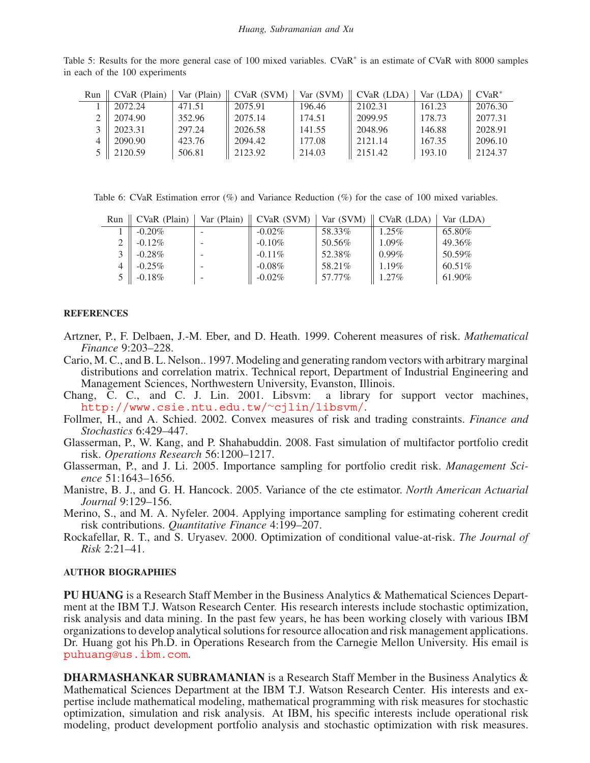Table 5: Results for the more general case of 100 mixed variables. CVaR<sup>∗</sup> is an estimate of CVaR with 8000 samples in each of the 100 experiments

| Run           | CVaR (Plain) |        | Var (Plain) $\parallel$ CVaR (SVM) | Var $(SVM)$ | $\parallel$ CVaR (LDA) | Var (LDA) | $CVaR^*$ |
|---------------|--------------|--------|------------------------------------|-------------|------------------------|-----------|----------|
|               | 2072.24      | 471.51 | 2075.91                            | 196.46      | 2102.31                | 161.23    | 2076.30  |
|               | 2074.90      | 352.96 | 2075.14                            | 174.51      | 2099.95                | 178.73    | 2077.31  |
| $\mathcal{R}$ | 2023.31      | 297.24 | 2026.58                            | 141.55      | 2048.96                | 146.88    | 2028.91  |
|               | 2090.90      | 423.76 | 2094.42                            | 177.08      | 2121.14                | 167.35    | 2096.10  |
|               | 5 2120.59    | 506.81 | 2123.92                            | 214.03      | 2151.42                | 193.10    | 2124.37  |

Table 6: CVaR Estimation error (%) and Variance Reduction (%) for the case of 100 mixed variables.

| Run | CVaR (Plain) | Var (Plain) | CVaR (SVM) | Var (SVM) | $CVaR$ (LDA) | Var (LDA) |
|-----|--------------|-------------|------------|-----------|--------------|-----------|
|     | $-0.20\%$    |             | $-0.02\%$  | 58.33%    | $1.25\%$     | 65.80%    |
|     | $-0.12\%$    |             | $-0.10\%$  | 50.56%    | $1.09\%$     | 49.36%    |
|     | $-0.28\%$    |             | $-0.11\%$  | 52.38%    | $0.99\%$     | 50.59%    |
|     | $-0.25\%$    |             | $-0.08\%$  | 58.21%    | $1.19\%$     | $60.51\%$ |
|     | $-0.18\%$    |             | $-0.02\%$  | 57.77%    | 1.27%        | 61.90%    |

# **REFERENCES**

- Artzner, P., F. Delbaen, J.-M. Eber, and D. Heath. 1999. Coherent measures of risk. *Mathematical Finance* 9:203–228.
- Cario, M. C., and B. L. Nelson.. 1997. Modeling and generating random vectors with arbitrary marginal distributions and correlation matrix. Technical report, Department of Industrial Engineering and Management Sciences, Northwestern University, Evanston, Illinois.
- Chang, C. C., and C. J. Lin. 2001. Libsvm: a library for support vector machines, http://www.csie.ntu.edu.tw/∼cjlin/libsvm/.
- Follmer, H., and A. Schied. 2002. Convex measures of risk and trading constraints. *Finance and Stochastics* 6:429–447.
- Glasserman, P., W. Kang, and P. Shahabuddin. 2008. Fast simulation of multifactor portfolio credit risk. *Operations Research* 56:1200–1217.
- Glasserman, P., and J. Li. 2005. Importance sampling for portfolio credit risk. *Management Science* 51:1643–1656.
- Manistre, B. J., and G. H. Hancock. 2005. Variance of the cte estimator. *North American Actuarial Journal* 9:129–156.
- Merino, S., and M. A. Nyfeler. 2004. Applying importance sampling for estimating coherent credit risk contributions. *Quantitative Finance* 4:199–207.
- Rockafellar, R. T., and S. Uryasev. 2000. Optimization of conditional value-at-risk. *The Journal of Risk* 2:21–41.

## **AUTHOR BIOGRAPHIES**

**PU HUANG** is a Research Staff Member in the Business Analytics & Mathematical Sciences Department at the IBM T.J. Watson Research Center. His research interests include stochastic optimization, risk analysis and data mining. In the past few years, he has been working closely with various IBM organizations to develop analytical solutions for resource allocation and risk management applications. Dr. Huang got his Ph.D. in Operations Research from the Carnegie Mellon University. His email is puhuang@us.ibm.com.

**DHARMASHANKAR SUBRAMANIAN** is a Research Staff Member in the Business Analytics & Mathematical Sciences Department at the IBM T.J. Watson Research Center. His interests and expertise include mathematical modeling, mathematical programming with risk measures for stochastic optimization, simulation and risk analysis. At IBM, his specific interests include operational risk modeling, product development portfolio analysis and stochastic optimization with risk measures.